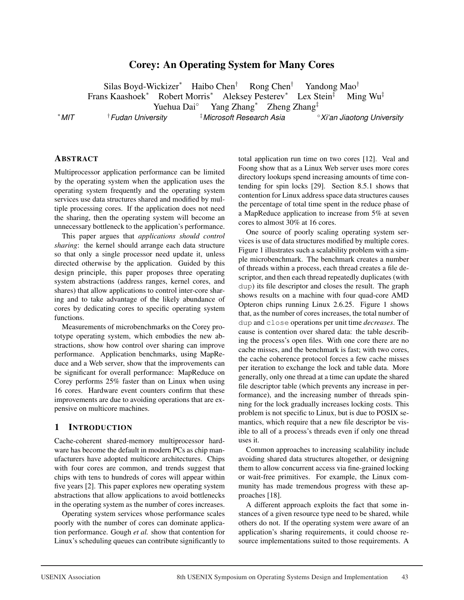# Corey: An Operating System for Many Cores

Silas Boyd-Wickizer<sup>∗</sup> Haibo Chen† Rong Chen† Yandong Mao† Frans Kaashoek<sup>∗</sup> Robert Morris<sup>∗</sup> Aleksey Pesterev<sup>∗</sup> Lex Stein‡ Ming Wu‡ Yuehua Dai◦ Yang Zhang<sup>∗</sup> Zheng Zhang‡ *MIT* †*Fudan University* ‡*Microsoft Research Asia* ◦*Xi'an Jiaotong University*

∗

## ABSTRACT

Multiprocessor application performance can be limited by the operating system when the application uses the operating system frequently and the operating system services use data structures shared and modified by multiple processing cores. If the application does not need the sharing, then the operating system will become an unnecessary bottleneck to the application's performance.

This paper argues that *applications should control sharing*: the kernel should arrange each data structure so that only a single processor need update it, unless directed otherwise by the application. Guided by this design principle, this paper proposes three operating system abstractions (address ranges, kernel cores, and shares) that allow applications to control inter-core sharing and to take advantage of the likely abundance of cores by dedicating cores to specific operating system functions.

Measurements of microbenchmarks on the Corey prototype operating system, which embodies the new abstractions, show how control over sharing can improve performance. Application benchmarks, using MapReduce and a Web server, show that the improvements can be significant for overall performance: MapReduce on Corey performs 25% faster than on Linux when using 16 cores. Hardware event counters confirm that these improvements are due to avoiding operations that are expensive on multicore machines.

#### 1 INTRODUCTION

Cache-coherent shared-memory multiprocessor hardware has become the default in modern PCs as chip manufacturers have adopted multicore architectures. Chips with four cores are common, and trends suggest that chips with tens to hundreds of cores will appear within five years [2]. This paper explores new operating system abstractions that allow applications to avoid bottlenecks in the operating system as the number of cores increases.

Operating system services whose performance scales poorly with the number of cores can dominate application performance. Gough *et al.* show that contention for Linux's scheduling queues can contribute significantly to total application run time on two cores [12]. Veal and Foong show that as a Linux Web server uses more cores directory lookups spend increasing amounts of time contending for spin locks [29]. Section 8.5.1 shows that contention for Linux address space data structures causes the percentage of total time spent in the reduce phase of a MapReduce application to increase from 5% at seven cores to almost 30% at 16 cores.

One source of poorly scaling operating system services is use of data structures modified by multiple cores. Figure 1 illustrates such a scalability problem with a simple microbenchmark. The benchmark creates a number of threads within a process, each thread creates a file descriptor, and then each thread repeatedly duplicates (with dup) its file descriptor and closes the result. The graph shows results on a machine with four quad-core AMD Opteron chips running Linux 2.6.25. Figure 1 shows that, as the number of cores increases, the total number of dup and close operations per unit time *decreases*. The cause is contention over shared data: the table describing the process's open files. With one core there are no cache misses, and the benchmark is fast; with two cores, the cache coherence protocol forces a few cache misses per iteration to exchange the lock and table data. More generally, only one thread at a time can update the shared file descriptor table (which prevents any increase in performance), and the increasing number of threads spinning for the lock gradually increases locking costs. This problem is not specific to Linux, but is due to POSIX semantics, which require that a new file descriptor be visible to all of a process's threads even if only one thread uses it.

Common approaches to increasing scalability include avoiding shared data structures altogether, or designing them to allow concurrent access via fine-grained locking or wait-free primitives. For example, the Linux community has made tremendous progress with these approaches [18].

A different approach exploits the fact that some instances of a given resource type need to be shared, while others do not. If the operating system were aware of an application's sharing requirements, it could choose resource implementations suited to those requirements. A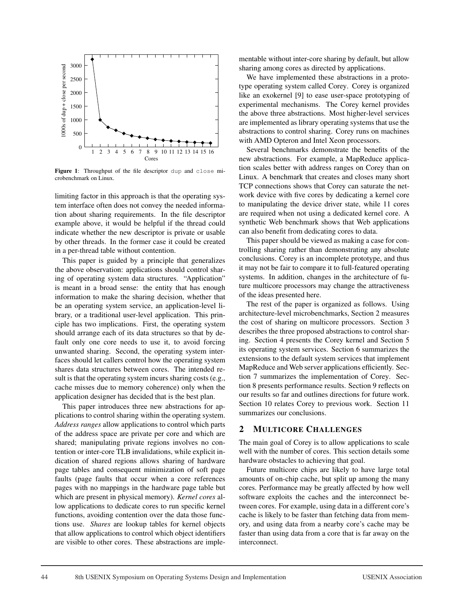

Figure 1: Throughput of the file descriptor dup and close microbenchmark on Linux.

limiting factor in this approach is that the operating system interface often does not convey the needed information about sharing requirements. In the file descriptor example above, it would be helpful if the thread could indicate whether the new descriptor is private or usable by other threads. In the former case it could be created in a per-thread table without contention.

This paper is guided by a principle that generalizes the above observation: applications should control sharing of operating system data structures. "Application" is meant in a broad sense: the entity that has enough information to make the sharing decision, whether that be an operating system service, an application-level library, or a traditional user-level application. This principle has two implications. First, the operating system should arrange each of its data structures so that by default only one core needs to use it, to avoid forcing unwanted sharing. Second, the operating system interfaces should let callers control how the operating system shares data structures between cores. The intended result is that the operating system incurs sharing costs (e.g., cache misses due to memory coherence) only when the application designer has decided that is the best plan.

This paper introduces three new abstractions for applications to control sharing within the operating system. *Address ranges* allow applications to control which parts of the address space are private per core and which are shared; manipulating private regions involves no contention or inter-core TLB invalidations, while explicit indication of shared regions allows sharing of hardware page tables and consequent minimization of soft page faults (page faults that occur when a core references pages with no mappings in the hardware page table but which are present in physical memory). *Kernel cores* allow applications to dedicate cores to run specific kernel functions, avoiding contention over the data those functions use. *Shares* are lookup tables for kernel objects that allow applications to control which object identifiers are visible to other cores. These abstractions are implementable without inter-core sharing by default, but allow sharing among cores as directed by applications.

We have implemented these abstractions in a prototype operating system called Corey. Corey is organized like an exokernel [9] to ease user-space prototyping of experimental mechanisms. The Corey kernel provides the above three abstractions. Most higher-level services are implemented as library operating systems that use the abstractions to control sharing. Corey runs on machines with AMD Opteron and Intel Xeon processors.

Several benchmarks demonstrate the benefits of the new abstractions. For example, a MapReduce application scales better with address ranges on Corey than on Linux. A benchmark that creates and closes many short TCP connections shows that Corey can saturate the network device with five cores by dedicating a kernel core to manipulating the device driver state, while 11 cores are required when not using a dedicated kernel core. A synthetic Web benchmark shows that Web applications can also benefit from dedicating cores to data.

This paper should be viewed as making a case for controlling sharing rather than demonstrating any absolute conclusions. Corey is an incomplete prototype, and thus it may not be fair to compare it to full-featured operating systems. In addition, changes in the architecture of future multicore processors may change the attractiveness of the ideas presented here.

The rest of the paper is organized as follows. Using architecture-level microbenchmarks, Section 2 measures the cost of sharing on multicore processors. Section 3 describes the three proposed abstractions to control sharing. Section 4 presents the Corey kernel and Section 5 its operating system services. Section 6 summarizes the extensions to the default system services that implement MapReduce and Web server applications efficiently. Section 7 summarizes the implementation of Corey. Section 8 presents performance results. Section 9 reflects on our results so far and outlines directions for future work. Section 10 relates Corey to previous work. Section 11 summarizes our conclusions.

### 2 MULTICORE CHALLENGES

The main goal of Corey is to allow applications to scale well with the number of cores. This section details some hardware obstacles to achieving that goal.

Future multicore chips are likely to have large total amounts of on-chip cache, but split up among the many cores. Performance may be greatly affected by how well software exploits the caches and the interconnect between cores. For example, using data in a different core's cache is likely to be faster than fetching data from memory, and using data from a nearby core's cache may be faster than using data from a core that is far away on the interconnect.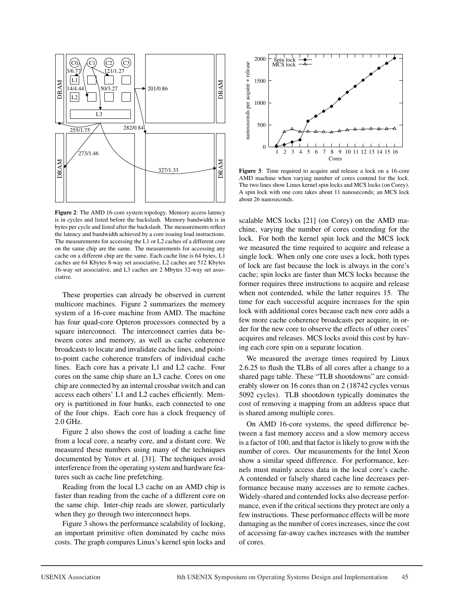

Figure 2: The AMD 16-core system topology. Memory access latency is in cycles and listed before the backslash. Memory bandwidth is in bytes per cycle and listed after the backslash. The measurements reflect the latency and bandwidth achieved by a core issuing load instructions. The measurements for accessing the L1 or L2 caches of a different core on the same chip are the same. The measurements for accessing any cache on a different chip are the same. Each cache line is 64 bytes, L1 caches are 64 Kbytes 8-way set associative, L2 caches are 512 Kbytes 16-way set associative, and L3 caches are 2 Mbytes 32-way set associative.

These properties can already be observed in current multicore machines. Figure 2 summarizes the memory system of a 16-core machine from AMD. The machine has four quad-core Opteron processors connected by a square interconnect. The interconnect carries data between cores and memory, as well as cache coherence broadcasts to locate and invalidate cache lines, and pointto-point cache coherence transfers of individual cache lines. Each core has a private L1 and L2 cache. Four cores on the same chip share an L3 cache. Cores on one chip are connected by an internal crossbar switch and can access each others' L1 and L2 caches efficiently. Memory is partitioned in four banks, each connected to one of the four chips. Each core has a clock frequency of 2.0 GHz.

Figure 2 also shows the cost of loading a cache line from a local core, a nearby core, and a distant core. We measured these numbers using many of the techniques documented by Yotov et al. [31]. The techniques avoid interference from the operating system and hardware features such as cache line prefetching.

Reading from the local L3 cache on an AMD chip is faster than reading from the cache of a different core on the same chip. Inter-chip reads are slower, particularly when they go through two interconnect hops.

Figure 3 shows the performance scalability of locking, an important primitive often dominated by cache miss costs. The graph compares Linux's kernel spin locks and



Figure 3: Time required to acquire and release a lock on a 16-core AMD machine when varying number of cores contend for the lock. The two lines show Linux kernel spin locks and MCS locks (on Corey). A spin lock with one core takes about 11 nanoseconds; an MCS lock about 26 nanoseconds.

scalable MCS locks [21] (on Corey) on the AMD machine, varying the number of cores contending for the lock. For both the kernel spin lock and the MCS lock we measured the time required to acquire and release a single lock. When only one core uses a lock, both types of lock are fast because the lock is always in the core's cache; spin locks are faster than MCS locks because the former requires three instructions to acquire and release when not contended, while the latter requires 15. The time for each successful acquire increases for the spin lock with additional cores because each new core adds a few more cache coherence broadcasts per acquire, in order for the new core to observe the effects of other cores' acquires and releases. MCS locks avoid this cost by having each core spin on a separate location.

We measured the average times required by Linux 2.6.25 to flush the TLBs of all cores after a change to a shared page table. These "TLB shootdowns" are considerably slower on 16 cores than on 2 (18742 cycles versus 5092 cycles). TLB shootdown typically dominates the cost of removing a mapping from an address space that is shared among multiple cores.

On AMD 16-core systems, the speed difference between a fast memory access and a slow memory access is a factor of 100, and that factor is likely to grow with the number of cores. Our measurements for the Intel Xeon show a similar speed difference. For performance, kernels must mainly access data in the local core's cache. A contended or falsely shared cache line decreases performance because many accesses are to remote caches. Widely-shared and contended locks also decrease performance, even if the critical sections they protect are only a few instructions. These performance effects will be more damaging as the number of cores increases, since the cost of accessing far-away caches increases with the number of cores.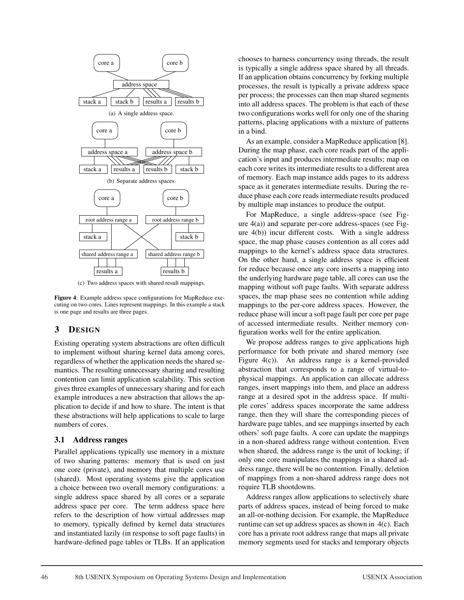

(c) Two address spaces with shared result mappings.

Figure 4: Example address space configurations for MapReduce executing on two cores. Lines represent mappings. In this example a stack is one page and results are three pages.

# 3 DESIGN

Existing operating system abstractions are often difficult to implement without sharing kernel data among cores, regardless of whether the application needs the shared semantics. The resulting unnecessary sharing and resulting contention can limit application scalability. This section gives three examples of unnecessary sharing and for each example introduces a new abstraction that allows the application to decide if and how to share. The intent is that these abstractions will help applications to scale to large numbers of cores.

## 3.1 Address ranges

Parallel applications typically use memory in a mixture of two sharing patterns: memory that is used on just one core (private), and memory that multiple cores use (shared). Most operating systems give the application a choice between two overall memory configurations: a single address space shared by all cores or a separate address space per core. The term address space here refers to the description of how virtual addresses map to memory, typically defined by kernel data structures and instantiated lazily (in response to soft page faults) in hardware-defined page tables or TLBs. If an application chooses to harness concurrency using threads, the result is typically a single address space shared by all threads. If an application obtains concurrency by forking multiple processes, the result is typically a private address space per process; the processes can then map shared segments into all address spaces. The problem is that each of these two configurations works well for only one of the sharing patterns, placing applications with a mixture of patterns in a bind.

As an example, consider a MapReduce application [8]. During the map phase, each core reads part of the application's input and produces intermediate results; map on each core writes its intermediate results to a different area of memory. Each map instance adds pages to its address space as it generates intermediate results. During the reduce phase each core reads intermediate results produced by multiple map instances to produce the output.

For MapReduce, a single address-space (see Figure 4(a)) and separate per-core address-spaces (see Figure 4(b)) incur different costs. With a single address space, the map phase causes contention as all cores add mappings to the kernel's address space data structures. On the other hand, a single address space is efficient for reduce because once any core inserts a mapping into the underlying hardware page table, all cores can use the mapping without soft page faults. With separate address spaces, the map phase sees no contention while adding mappings to the per-core address spaces. However, the reduce phase will incur a soft page fault per core per page of accessed intermediate results. Neither memory configuration works well for the entire application.

We propose address ranges to give applications high performance for both private and shared memory (see Figure 4(c)). An address range is a kernel-provided abstraction that corresponds to a range of virtual-tophysical mappings. An application can allocate address ranges, insert mappings into them, and place an address range at a desired spot in the address space. If multiple cores' address spaces incorporate the same address range, then they will share the corresponding pieces of hardware page tables, and see mappings inserted by each others' soft page faults. A core can update the mappings in a non-shared address range without contention. Even when shared, the address range is the unit of locking; if only one core manipulates the mappings in a shared address range, there will be no contention. Finally, deletion of mappings from a non-shared address range does not require TLB shootdowns.

Address ranges allow applications to selectively share parts of address spaces, instead of being forced to make an all-or-nothing decision. For example, the MapReduce runtime can set up address spaces as shown in 4(c). Each core has a private root address range that maps all private memory segments used for stacks and temporary objects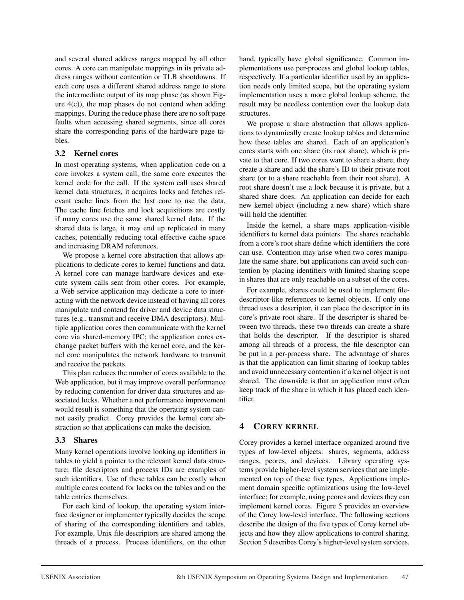and several shared address ranges mapped by all other cores. A core can manipulate mappings in its private address ranges without contention or TLB shootdowns. If each core uses a different shared address range to store the intermediate output of its map phase (as shown Figure 4(c)), the map phases do not contend when adding mappings. During the reduce phase there are no soft page faults when accessing shared segments, since all cores share the corresponding parts of the hardware page tables.

## 3.2 Kernel cores

In most operating systems, when application code on a core invokes a system call, the same core executes the kernel code for the call. If the system call uses shared kernel data structures, it acquires locks and fetches relevant cache lines from the last core to use the data. The cache line fetches and lock acquisitions are costly if many cores use the same shared kernel data. If the shared data is large, it may end up replicated in many caches, potentially reducing total effective cache space and increasing DRAM references.

We propose a kernel core abstraction that allows applications to dedicate cores to kernel functions and data. A kernel core can manage hardware devices and execute system calls sent from other cores. For example, a Web service application may dedicate a core to interacting with the network device instead of having all cores manipulate and contend for driver and device data structures (e.g., transmit and receive DMA descriptors). Multiple application cores then communicate with the kernel core via shared-memory IPC; the application cores exchange packet buffers with the kernel core, and the kernel core manipulates the network hardware to transmit and receive the packets.

This plan reduces the number of cores available to the Web application, but it may improve overall performance by reducing contention for driver data structures and associated locks. Whether a net performance improvement would result is something that the operating system cannot easily predict. Corey provides the kernel core abstraction so that applications can make the decision.

# 3.3 Shares

Many kernel operations involve looking up identifiers in tables to yield a pointer to the relevant kernel data structure; file descriptors and process IDs are examples of such identifiers. Use of these tables can be costly when multiple cores contend for locks on the tables and on the table entries themselves.

For each kind of lookup, the operating system interface designer or implementer typically decides the scope of sharing of the corresponding identifiers and tables. For example, Unix file descriptors are shared among the threads of a process. Process identifiers, on the other hand, typically have global significance. Common implementations use per-process and global lookup tables, respectively. If a particular identifier used by an application needs only limited scope, but the operating system implementation uses a more global lookup scheme, the result may be needless contention over the lookup data structures.

We propose a share abstraction that allows applications to dynamically create lookup tables and determine how these tables are shared. Each of an application's cores starts with one share (its root share), which is private to that core. If two cores want to share a share, they create a share and add the share's ID to their private root share (or to a share reachable from their root share). A root share doesn't use a lock because it is private, but a shared share does. An application can decide for each new kernel object (including a new share) which share will hold the identifier.

Inside the kernel, a share maps application-visible identifiers to kernel data pointers. The shares reachable from a core's root share define which identifiers the core can use. Contention may arise when two cores manipulate the same share, but applications can avoid such contention by placing identifiers with limited sharing scope in shares that are only reachable on a subset of the cores.

For example, shares could be used to implement filedescriptor-like references to kernel objects. If only one thread uses a descriptor, it can place the descriptor in its core's private root share. If the descriptor is shared between two threads, these two threads can create a share that holds the descriptor. If the descriptor is shared among all threads of a process, the file descriptor can be put in a per-process share. The advantage of shares is that the application can limit sharing of lookup tables and avoid unnecessary contention if a kernel object is not shared. The downside is that an application must often keep track of the share in which it has placed each identifier.

# 4 COREY KERNEL

Corey provides a kernel interface organized around five types of low-level objects: shares, segments, address ranges, pcores, and devices. Library operating systems provide higher-level system services that are implemented on top of these five types. Applications implement domain specific optimizations using the low-level interface; for example, using pcores and devices they can implement kernel cores. Figure 5 provides an overview of the Corey low-level interface. The following sections describe the design of the five types of Corey kernel objects and how they allow applications to control sharing. Section 5 describes Corey's higher-level system services.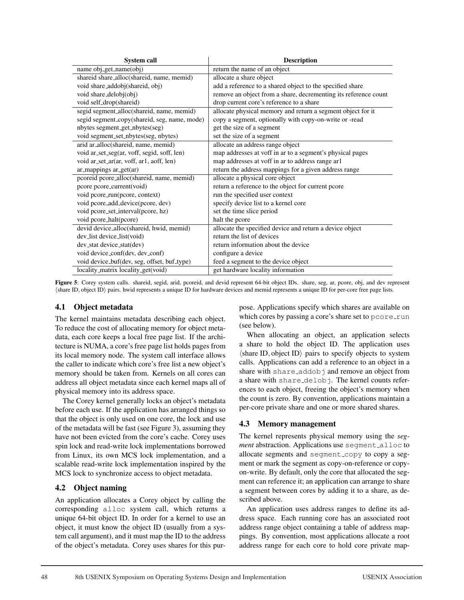| <b>System call</b>                           | <b>Description</b>                                              |
|----------------------------------------------|-----------------------------------------------------------------|
| name obj_get_name(obj)                       | return the name of an object                                    |
| shareid share_alloc(shareid, name, memid)    | allocate a share object                                         |
| void share_addobj(shareid, obj)              | add a reference to a shared object to the specified share       |
| void share_delobj(obj)                       | remove an object from a share, decrementing its reference count |
| void self_drop(shareid)                      | drop current core's reference to a share                        |
| segid segment_alloc(shareid, name, memid)    | allocate physical memory and return a segment object for it     |
| segid segment_copy(shareid, seg, name, mode) | copy a segment, optionally with copy-on-write or -read          |
| nbytes segment_get_nbytes(seg)               | get the size of a segment                                       |
| void segment_set_nbytes(seg, nbytes)         | set the size of a segment                                       |
| arid ar_alloc(shareid, name, memid)          | allocate an address range object                                |
| void ar_set_seg(ar, voff, segid, soff, len)  | map addresses at voff in ar to a segment's physical pages       |
| void ar_set_ar(ar, voff, ar1, aoff, len)     | map addresses at voff in ar to address range ar1                |
| ar_mappings ar_get(ar)                       | return the address mappings for a given address range           |
| pcoreid pcore_alloc(shareid, name, memid)    | allocate a physical core object                                 |
| pcore pcore_current(void)                    | return a reference to the object for current pcore              |
| void pcore_run(pcore, context)               | run the specified user context                                  |
| void pcore_add_device(pcore, dev)            | specify device list to a kernel core                            |
| void pcore_set_interval(pcore, hz)           | set the time slice period                                       |
| void pcore_halt(pcore)                       | halt the pcore                                                  |
| devid device_alloc(shareid, hwid, memid)     | allocate the specified device and return a device object        |
| dev_list device_list(void)                   | return the list of devices                                      |
| dev_stat device_stat(dev)                    | return information about the device                             |
| void device_conf(dev, dev_conf)              | configure a device                                              |
| void device_buf(dev, seg, offset, buf_type)  | feed a segment to the device object                             |
| locality_matrix locality_get(void)           | get hardware locality information                               |

Figure 5: Corey system calls. shareid, segid, arid, pcoreid, and devid represent 64-bit object IDs. share, seg, ar, pcore, obj, and dev represent (share ID, object ID) pairs. hwid represents a unique ID for hardware devices and memid represents a unique ID for per-core free page lists.

## 4.1 Object metadata

The kernel maintains metadata describing each object. To reduce the cost of allocating memory for object metadata, each core keeps a local free page list. If the architecture is NUMA, a core's free page list holds pages from its local memory node. The system call interface allows the caller to indicate which core's free list a new object's memory should be taken from. Kernels on all cores can address all object metadata since each kernel maps all of physical memory into its address space.

The Corey kernel generally locks an object's metadata before each use. If the application has arranged things so that the object is only used on one core, the lock and use of the metadata will be fast (see Figure 3), assuming they have not been evicted from the core's cache. Corey uses spin lock and read-write lock implementations borrowed from Linux, its own MCS lock implementation, and a scalable read-write lock implementation inspired by the MCS lock to synchronize access to object metadata.

# 4.2 Object naming

An application allocates a Corey object by calling the corresponding alloc system call, which returns a unique 64-bit object ID. In order for a kernel to use an object, it must know the object ID (usually from a system call argument), and it must map the ID to the address of the object's metadata. Corey uses shares for this purpose. Applications specify which shares are available on which cores by passing a core's share set to  $\tt pcore.run$ (see below).

When allocating an object, an application selects a share to hold the object ID. The application uses  $\langle$ share ID, object ID $\rangle$  pairs to specify objects to system calls. Applications can add a reference to an object in a share with share addobj and remove an object from a share with share\_delobj. The kernel counts references to each object, freeing the object's memory when the count is zero. By convention, applications maintain a per-core private share and one or more shared shares.

# 4.3 Memory management

The kernel represents physical memory using the *segment* abstraction. Applications use segment alloc to allocate segments and segment\_copy to copy a segment or mark the segment as copy-on-reference or copyon-write. By default, only the core that allocated the segment can reference it; an application can arrange to share a segment between cores by adding it to a share, as described above.

An application uses address ranges to define its address space. Each running core has an associated root address range object containing a table of address mappings. By convention, most applications allocate a root address range for each core to hold core private map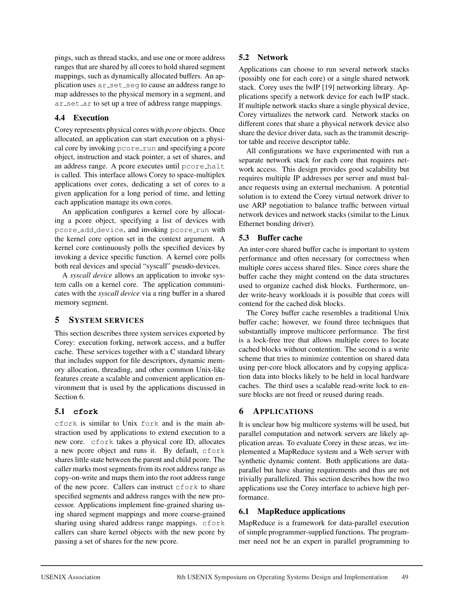pings, such as thread stacks, and use one or more address ranges that are shared by all cores to hold shared segment mappings, such as dynamically allocated buffers. An application uses  $ar\_set\_seq$  to cause an address range to map addresses to the physical memory in a segment, and ar set ar to set up a tree of address range mappings.

# 4.4 Execution

Corey represents physical cores with *pcore* objects. Once allocated, an application can start execution on a physical core by invoking pcore\_run and specifying a pcore object, instruction and stack pointer, a set of shares, and an address range. A pcore executes until pcore halt is called. This interface allows Corey to space-multiplex applications over cores, dedicating a set of cores to a given application for a long period of time, and letting each application manage its own cores.

An application configures a kernel core by allocating a pcore object, specifying a list of devices with pcore\_add\_device, and invoking pcore\_run with the kernel core option set in the context argument. A kernel core continuously polls the specified devices by invoking a device specific function. A kernel core polls both real devices and special "syscall" pseudo-devices.

A *syscall device* allows an application to invoke system calls on a kernel core. The application communicates with the *syscall device* via a ring buffer in a shared memory segment.

# 5 SYSTEM SERVICES

This section describes three system services exported by Corey: execution forking, network access, and a buffer cache. These services together with a C standard library that includes support for file descriptors, dynamic memory allocation, threading, and other common Unix-like features create a scalable and convenient application environment that is used by the applications discussed in Section 6.

# 5.1 **cfork**

cfork is similar to Unix fork and is the main abstraction used by applications to extend execution to a new core. cfork takes a physical core ID, allocates a new pcore object and runs it. By default, cfork shares little state between the parent and child pcore. The caller marks most segments from its root address range as copy-on-write and maps them into the root address range of the new pcore. Callers can instruct cfork to share specified segments and address ranges with the new processor. Applications implement fine-grained sharing using shared segment mappings and more coarse-grained sharing using shared address range mappings. cfork callers can share kernel objects with the new pcore by passing a set of shares for the new pcore.

# 5.2 Network

Applications can choose to run several network stacks (possibly one for each core) or a single shared network stack. Corey uses the lwIP [19] networking library. Applications specify a network device for each lwIP stack. If multiple network stacks share a single physical device, Corey virtualizes the network card. Network stacks on different cores that share a physical network device also share the device driver data, such as the transmit descriptor table and receive descriptor table.

All configurations we have experimented with run a separate network stack for each core that requires network access. This design provides good scalability but requires multiple IP addresses per server and must balance requests using an external mechanism. A potential solution is to extend the Corey virtual network driver to use ARP negotiation to balance traffic between virtual network devices and network stacks (similar to the Linux Ethernet bonding driver).

# 5.3 Buffer cache

An inter-core shared buffer cache is important to system performance and often necessary for correctness when multiple cores access shared files. Since cores share the buffer cache they might contend on the data structures used to organize cached disk blocks. Furthermore, under write-heavy workloads it is possible that cores will contend for the cached disk blocks.

The Corey buffer cache resembles a traditional Unix buffer cache; however, we found three techniques that substantially improve multicore performance. The first is a lock-free tree that allows multiple cores to locate cached blocks without contention. The second is a write scheme that tries to minimize contention on shared data using per-core block allocators and by copying application data into blocks likely to be held in local hardware caches. The third uses a scalable read-write lock to ensure blocks are not freed or reused during reads.

# 6 APPLICATIONS

It is unclear how big multicore systems will be used, but parallel computation and network servers are likely application areas. To evaluate Corey in these areas, we implemented a MapReduce system and a Web server with synthetic dynamic content. Both applications are dataparallel but have sharing requirements and thus are not trivially parallelized. This section describes how the two applications use the Corey interface to achieve high performance.

# 6.1 MapReduce applications

MapReduce is a framework for data-parallel execution of simple programmer-supplied functions. The programmer need not be an expert in parallel programming to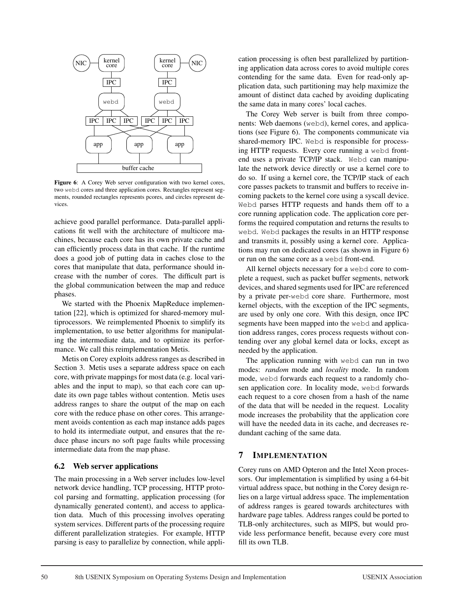

Figure 6: A Corey Web server configuration with two kernel cores, two webd cores and three application cores. Rectangles represent segments, rounded rectangles represents pcores, and circles represent devices.

achieve good parallel performance. Data-parallel applications fit well with the architecture of multicore machines, because each core has its own private cache and can efficiently process data in that cache. If the runtime does a good job of putting data in caches close to the cores that manipulate that data, performance should increase with the number of cores. The difficult part is the global communication between the map and reduce phases.

We started with the Phoenix MapReduce implementation [22], which is optimized for shared-memory multiprocessors. We reimplemented Phoenix to simplify its implementation, to use better algorithms for manipulating the intermediate data, and to optimize its performance. We call this reimplementation Metis.

Metis on Corey exploits address ranges as described in Section 3. Metis uses a separate address space on each core, with private mappings for most data (e.g. local variables and the input to map), so that each core can update its own page tables without contention. Metis uses address ranges to share the output of the map on each core with the reduce phase on other cores. This arrangement avoids contention as each map instance adds pages to hold its intermediate output, and ensures that the reduce phase incurs no soft page faults while processing intermediate data from the map phase.

## 6.2 Web server applications

The main processing in a Web server includes low-level network device handling, TCP processing, HTTP protocol parsing and formatting, application processing (for dynamically generated content), and access to application data. Much of this processing involves operating system services. Different parts of the processing require different parallelization strategies. For example, HTTP parsing is easy to parallelize by connection, while application processing is often best parallelized by partitioning application data across cores to avoid multiple cores contending for the same data. Even for read-only application data, such partitioning may help maximize the amount of distinct data cached by avoiding duplicating the same data in many cores' local caches.

The Corey Web server is built from three components: Web daemons (webd), kernel cores, and applications (see Figure 6). The components communicate via shared-memory IPC. Webd is responsible for processing HTTP requests. Every core running a webd frontend uses a private TCP/IP stack. Webd can manipulate the network device directly or use a kernel core to do so. If using a kernel core, the TCP/IP stack of each core passes packets to transmit and buffers to receive incoming packets to the kernel core using a syscall device. Webd parses HTTP requests and hands them off to a core running application code. The application core performs the required computation and returns the results to webd. Webd packages the results in an HTTP response and transmits it, possibly using a kernel core. Applications may run on dedicated cores (as shown in Figure 6) or run on the same core as a webd front-end.

All kernel objects necessary for a webd core to complete a request, such as packet buffer segments, network devices, and shared segments used for IPC are referenced by a private per-webd core share. Furthermore, most kernel objects, with the exception of the IPC segments, are used by only one core. With this design, once IPC segments have been mapped into the webd and application address ranges, cores process requests without contending over any global kernel data or locks, except as needed by the application.

The application running with webd can run in two modes: *random* mode and *locality* mode. In random mode, webd forwards each request to a randomly chosen application core. In locality mode, webd forwards each request to a core chosen from a hash of the name of the data that will be needed in the request. Locality mode increases the probability that the application core will have the needed data in its cache, and decreases redundant caching of the same data.

#### 7 IMPLEMENTATION

Corey runs on AMD Opteron and the Intel Xeon processors. Our implementation is simplified by using a 64-bit virtual address space, but nothing in the Corey design relies on a large virtual address space. The implementation of address ranges is geared towards architectures with hardware page tables. Address ranges could be ported to TLB-only architectures, such as MIPS, but would provide less performance benefit, because every core must fill its own TLB.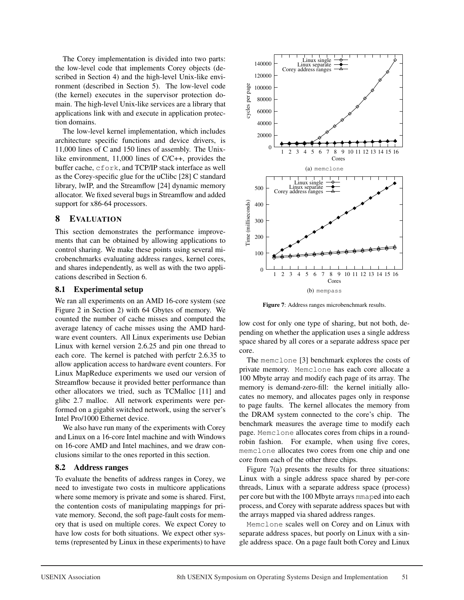The Corey implementation is divided into two parts: the low-level code that implements Corey objects (described in Section 4) and the high-level Unix-like environment (described in Section 5). The low-level code (the kernel) executes in the supervisor protection domain. The high-level Unix-like services are a library that applications link with and execute in application protection domains.

The low-level kernel implementation, which includes architecture specific functions and device drivers, is 11,000 lines of C and 150 lines of assembly. The Unixlike environment, 11,000 lines of C/C++, provides the buffer cache, cfork, and TCP/IP stack interface as well as the Corey-specific glue for the uClibc [28] C standard library, lwIP, and the Streamflow [24] dynamic memory allocator. We fixed several bugs in Streamflow and added support for  $x86-64$  processors.

## 8 EVALUATION

This section demonstrates the performance improvements that can be obtained by allowing applications to control sharing. We make these points using several microbenchmarks evaluating address ranges, kernel cores, and shares independently, as well as with the two applications described in Section 6.

## 8.1 Experimental setup

We ran all experiments on an AMD 16-core system (see Figure 2 in Section 2) with 64 Gbytes of memory. We counted the number of cache misses and computed the average latency of cache misses using the AMD hardware event counters. All Linux experiments use Debian Linux with kernel version 2.6.25 and pin one thread to each core. The kernel is patched with perfctr 2.6.35 to allow application access to hardware event counters. For Linux MapReduce experiments we used our version of Streamflow because it provided better performance than other allocators we tried, such as TCMalloc [11] and glibc 2.7 malloc. All network experiments were performed on a gigabit switched network, using the server's Intel Pro/1000 Ethernet device.

We also have run many of the experiments with Corey and Linux on a 16-core Intel machine and with Windows on 16-core AMD and Intel machines, and we draw conclusions similar to the ones reported in this section.

## 8.2 Address ranges

To evaluate the benefits of address ranges in Corey, we need to investigate two costs in multicore applications where some memory is private and some is shared. First, the contention costs of manipulating mappings for private memory. Second, the soft page-fault costs for memory that is used on multiple cores. We expect Corey to have low costs for both situations. We expect other systems (represented by Linux in these experiments) to have



Figure 7: Address ranges microbenchmark results.

low cost for only one type of sharing, but not both, depending on whether the application uses a single address space shared by all cores or a separate address space per core.

The memclone [3] benchmark explores the costs of private memory. Memclone has each core allocate a 100 Mbyte array and modify each page of its array. The memory is demand-zero-fill: the kernel initially allocates no memory, and allocates pages only in response to page faults. The kernel allocates the memory from the DRAM system connected to the core's chip. The benchmark measures the average time to modify each page. Memclone allocates cores from chips in a roundrobin fashion. For example, when using five cores, memclone allocates two cores from one chip and one core from each of the other three chips.

Figure 7(a) presents the results for three situations: Linux with a single address space shared by per-core threads, Linux with a separate address space (process) per core but with the 100 Mbyte arrays mmaped into each process, and Corey with separate address spaces but with the arrays mapped via shared address ranges.

Memclone scales well on Corey and on Linux with separate address spaces, but poorly on Linux with a single address space. On a page fault both Corey and Linux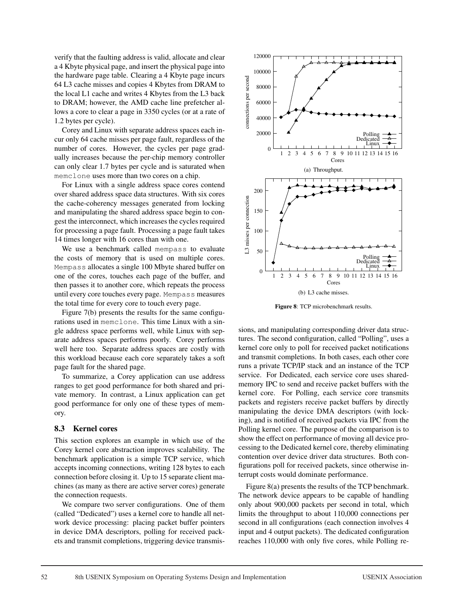verify that the faulting address is valid, allocate and clear a 4 Kbyte physical page, and insert the physical page into the hardware page table. Clearing a 4 Kbyte page incurs 64 L3 cache misses and copies 4 Kbytes from DRAM to the local L1 cache and writes 4 Kbytes from the L3 back to DRAM; however, the AMD cache line prefetcher allows a core to clear a page in 3350 cycles (or at a rate of 1.2 bytes per cycle).

Corey and Linux with separate address spaces each incur only 64 cache misses per page fault, regardless of the number of cores. However, the cycles per page gradually increases because the per-chip memory controller can only clear 1.7 bytes per cycle and is saturated when memclone uses more than two cores on a chip.

For Linux with a single address space cores contend over shared address space data structures. With six cores the cache-coherency messages generated from locking and manipulating the shared address space begin to congest the interconnect, which increases the cycles required for processing a page fault. Processing a page fault takes 14 times longer with 16 cores than with one.

We use a benchmark called mempass to evaluate the costs of memory that is used on multiple cores. Mempass allocates a single 100 Mbyte shared buffer on one of the cores, touches each page of the buffer, and then passes it to another core, which repeats the process until every core touches every page. Mempass measures the total time for every core to touch every page.

Figure 7(b) presents the results for the same configurations used in memclone. This time Linux with a single address space performs well, while Linux with separate address spaces performs poorly. Corey performs well here too. Separate address spaces are costly with this workload because each core separately takes a soft page fault for the shared page.

To summarize, a Corey application can use address ranges to get good performance for both shared and private memory. In contrast, a Linux application can get good performance for only one of these types of memory.

#### 8.3 Kernel cores

This section explores an example in which use of the Corey kernel core abstraction improves scalability. The benchmark application is a simple TCP service, which accepts incoming connections, writing 128 bytes to each connection before closing it. Up to 15 separate client machines (as many as there are active server cores) generate the connection requests.

We compare two server configurations. One of them (called "Dedicated") uses a kernel core to handle all network device processing: placing packet buffer pointers in device DMA descriptors, polling for received packets and transmit completions, triggering device transmis-



Figure 8: TCP microbenchmark results.

sions, and manipulating corresponding driver data structures. The second configuration, called "Polling", uses a kernel core only to poll for received packet notifications and transmit completions. In both cases, each other core runs a private TCP/IP stack and an instance of the TCP service. For Dedicated, each service core uses sharedmemory IPC to send and receive packet buffers with the kernel core. For Polling, each service core transmits packets and registers receive packet buffers by directly manipulating the device DMA descriptors (with locking), and is notified of received packets via IPC from the Polling kernel core. The purpose of the comparison is to show the effect on performance of moving all device processing to the Dedicated kernel core, thereby eliminating contention over device driver data structures. Both configurations poll for received packets, since otherwise interrupt costs would dominate performance.

Figure 8(a) presents the results of the TCP benchmark. The network device appears to be capable of handling only about 900,000 packets per second in total, which limits the throughput to about 110,000 connections per second in all configurations (each connection involves 4 input and 4 output packets). The dedicated configuration reaches 110,000 with only five cores, while Polling re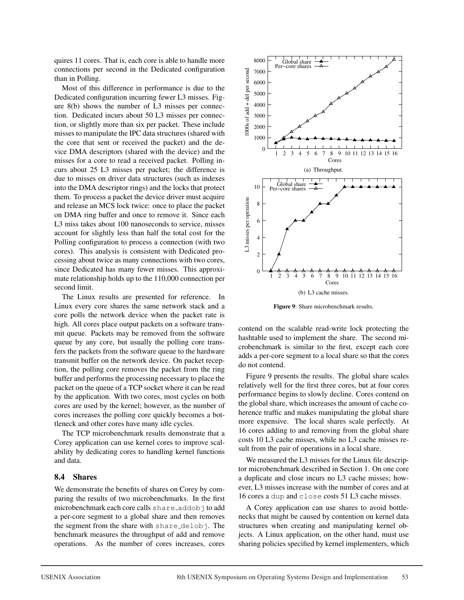quires 11 cores. That is, each core is able to handle more connections per second in the Dedicated configuration than in Polling.

Most of this difference in performance is due to the Dedicated configuration incurring fewer L3 misses. Figure 8(b) shows the number of L3 misses per connection. Dedicated incurs about 50 L3 misses per connection, or slightly more than six per packet. These include misses to manipulate the IPC data structures (shared with the core that sent or received the packet) and the device DMA descriptors (shared with the device) and the misses for a core to read a received packet. Polling incurs about 25 L3 misses per packet; the difference is due to misses on driver data structures (such as indexes into the DMA descriptor rings) and the locks that protect them. To process a packet the device driver must acquire and release an MCS lock twice: once to place the packet on DMA ring buffer and once to remove it. Since each L3 miss takes about 100 nanoseconds to service, misses account for slightly less than half the total cost for the Polling configuration to process a connection (with two cores). This analysis is consistent with Dedicated processing about twice as many connections with two cores, since Dedicated has many fewer misses. This approximate relationship holds up to the 110,000 connection per second limit.

The Linux results are presented for reference. In Linux every core shares the same network stack and a core polls the network device when the packet rate is high. All cores place output packets on a software transmit queue. Packets may be removed from the software queue by any core, but usually the polling core transfers the packets from the software queue to the hardware transmit buffer on the network device. On packet reception, the polling core removes the packet from the ring buffer and performs the processing necessary to place the packet on the queue of a TCP socket where it can be read by the application. With two cores, most cycles on both cores are used by the kernel; however, as the number of cores increases the polling core quickly becomes a bottleneck and other cores have many idle cycles.

The TCP microbenchmark results demonstrate that a Corey application can use kernel cores to improve scalability by dedicating cores to handling kernel functions and data.

## 8.4 Shares

We demonstrate the benefits of shares on Corey by comparing the results of two microbenchmarks. In the first microbenchmark each core calls share\_addobj to add a per-core segment to a global share and then removes the segment from the share with share-delobj. The benchmark measures the throughput of add and remove operations. As the number of cores increases, cores



Figure 9: Share microbenchmark results.

contend on the scalable read-write lock protecting the hashtable used to implement the share. The second microbenchmark is similar to the first, except each core adds a per-core segment to a local share so that the cores do not contend.

Figure 9 presents the results. The global share scales relatively well for the first three cores, but at four cores performance begins to slowly decline. Cores contend on the global share, which increases the amount of cache coherence traffic and makes manipulating the global share more expensive. The local shares scale perfectly. At 16 cores adding to and removing from the global share costs 10 L3 cache misses, while no L3 cache misses result from the pair of operations in a local share.

We measured the L3 misses for the Linux file descriptor microbenchmark described in Section 1. On one core a duplicate and close incurs no L3 cache misses; however, L3 misses increase with the number of cores and at 16 cores a dup and close costs 51 L3 cache misses.

A Corey application can use shares to avoid bottlenecks that might be caused by contention on kernel data structures when creating and manipulating kernel objects. A Linux application, on the other hand, must use sharing policies specified by kernel implementers, which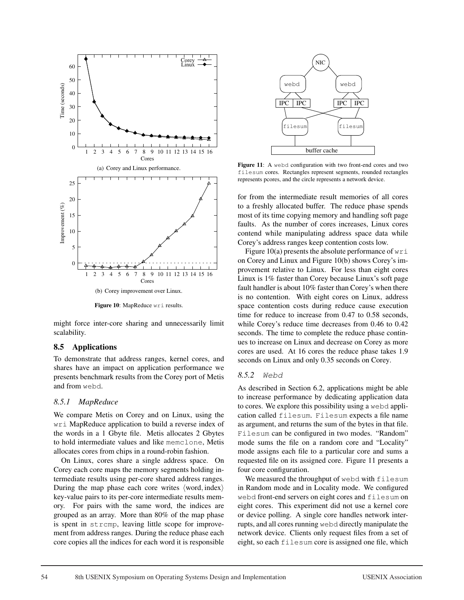

Figure 10: MapReduce wri results.

might force inter-core sharing and unnecessarily limit scalability.

### 8.5 Applications

To demonstrate that address ranges, kernel cores, and shares have an impact on application performance we presents benchmark results from the Corey port of Metis and from webd.

#### *8.5.1 MapReduce*

We compare Metis on Corey and on Linux, using the wri MapReduce application to build a reverse index of the words in a 1 Gbyte file. Metis allocates 2 Gbytes to hold intermediate values and like memclone, Metis allocates cores from chips in a round-robin fashion.

On Linux, cores share a single address space. On Corey each core maps the memory segments holding intermediate results using per-core shared address ranges. During the map phase each core writes  $\langle$  word, index $\rangle$ key-value pairs to its per-core intermediate results memory. For pairs with the same word, the indices are grouped as an array. More than 80% of the map phase is spent in strcmp, leaving little scope for improvement from address ranges. During the reduce phase each core copies all the indices for each word it is responsible



Figure 11: A webd configuration with two front-end cores and two filesum cores. Rectangles represent segments, rounded rectangles represents pcores, and the circle represents a network device.

for from the intermediate result memories of all cores to a freshly allocated buffer. The reduce phase spends most of its time copying memory and handling soft page faults. As the number of cores increases, Linux cores contend while manipulating address space data while Corey's address ranges keep contention costs low.

Figure 10(a) presents the absolute performance of  $wri$ on Corey and Linux and Figure 10(b) shows Corey's improvement relative to Linux. For less than eight cores Linux is 1% faster than Corey because Linux's soft page fault handler is about 10% faster than Corey's when there is no contention. With eight cores on Linux, address space contention costs during reduce cause execution time for reduce to increase from 0.47 to 0.58 seconds, while Corey's reduce time decreases from 0.46 to 0.42 seconds. The time to complete the reduce phase continues to increase on Linux and decrease on Corey as more cores are used. At 16 cores the reduce phase takes 1.9 seconds on Linux and only 0.35 seconds on Corey.

#### *8.5.2 Webd*

As described in Section 6.2, applications might be able to increase performance by dedicating application data to cores. We explore this possibility using a webd application called filesum. Filesum expects a file name as argument, and returns the sum of the bytes in that file. Filesum can be configured in two modes. "Random" mode sums the file on a random core and "Locality" mode assigns each file to a particular core and sums a requested file on its assigned core. Figure 11 presents a four core configuration.

We measured the throughput of webd with filesum in Random mode and in Locality mode. We configured webd front-end servers on eight cores and filesum on eight cores. This experiment did not use a kernel core or device polling. A single core handles network interrupts, and all cores running webd directly manipulate the network device. Clients only request files from a set of eight, so each filesum core is assigned one file, which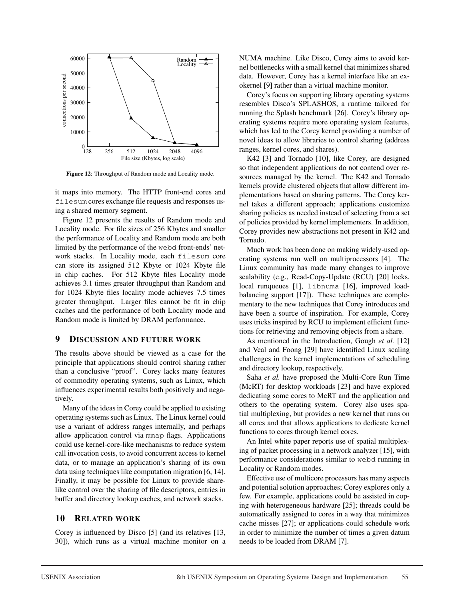

Figure 12: Throughput of Random mode and Locality mode.

it maps into memory. The HTTP front-end cores and filesum cores exchange file requests and responses using a shared memory segment.

Figure 12 presents the results of Random mode and Locality mode. For file sizes of 256 Kbytes and smaller the performance of Locality and Random mode are both limited by the performance of the webd front-ends' network stacks. In Locality mode, each filesum core can store its assigned 512 Kbyte or 1024 Kbyte file in chip caches. For 512 Kbyte files Locality mode achieves 3.1 times greater throughput than Random and for 1024 Kbyte files locality mode achieves 7.5 times greater throughput. Larger files cannot be fit in chip caches and the performance of both Locality mode and Random mode is limited by DRAM performance.

## 9 DISCUSSION AND FUTURE WORK

The results above should be viewed as a case for the principle that applications should control sharing rather than a conclusive "proof". Corey lacks many features of commodity operating systems, such as Linux, which influences experimental results both positively and negatively.

Many of the ideas in Corey could be applied to existing operating systems such as Linux. The Linux kernel could use a variant of address ranges internally, and perhaps allow application control via mmap flags. Applications could use kernel-core-like mechanisms to reduce system call invocation costs, to avoid concurrent access to kernel data, or to manage an application's sharing of its own data using techniques like computation migration [6, 14]. Finally, it may be possible for Linux to provide sharelike control over the sharing of file descriptors, entries in buffer and directory lookup caches, and network stacks.

## 10 RELATED WORK

Corey is influenced by Disco [5] (and its relatives [13, 30]), which runs as a virtual machine monitor on a NUMA machine. Like Disco, Corey aims to avoid kernel bottlenecks with a small kernel that minimizes shared data. However, Corey has a kernel interface like an exokernel [9] rather than a virtual machine monitor.

Corey's focus on supporting library operating systems resembles Disco's SPLASHOS, a runtime tailored for running the Splash benchmark [26]. Corey's library operating systems require more operating system features, which has led to the Corey kernel providing a number of novel ideas to allow libraries to control sharing (address ranges, kernel cores, and shares).

K42 [3] and Tornado [10], like Corey, are designed so that independent applications do not contend over resources managed by the kernel. The K42 and Tornado kernels provide clustered objects that allow different implementations based on sharing patterns. The Corey kernel takes a different approach; applications customize sharing policies as needed instead of selecting from a set of policies provided by kernel implementers. In addition, Corey provides new abstractions not present in K42 and Tornado.

Much work has been done on making widely-used operating systems run well on multiprocessors [4]. The Linux community has made many changes to improve scalability (e.g., Read-Copy-Update (RCU) [20] locks, local runqueues [1], libnuma [16], improved loadbalancing support [17]). These techniques are complementary to the new techniques that Corey introduces and have been a source of inspiration. For example, Corey uses tricks inspired by RCU to implement efficient functions for retrieving and removing objects from a share.

As mentioned in the Introduction, Gough *et al.* [12] and Veal and Foong [29] have identified Linux scaling challenges in the kernel implementations of scheduling and directory lookup, respectively.

Saha *et al.* have proposed the Multi-Core Run Time (McRT) for desktop workloads [23] and have explored dedicating some cores to McRT and the application and others to the operating system. Corey also uses spatial multiplexing, but provides a new kernel that runs on all cores and that allows applications to dedicate kernel functions to cores through kernel cores.

An Intel white paper reports use of spatial multiplexing of packet processing in a network analyzer [15], with performance considerations similar to webd running in Locality or Random modes.

Effective use of multicore processors has many aspects and potential solution approaches; Corey explores only a few. For example, applications could be assisted in coping with heterogeneous hardware [25]; threads could be automatically assigned to cores in a way that minimizes cache misses [27]; or applications could schedule work in order to minimize the number of times a given datum needs to be loaded from DRAM [7].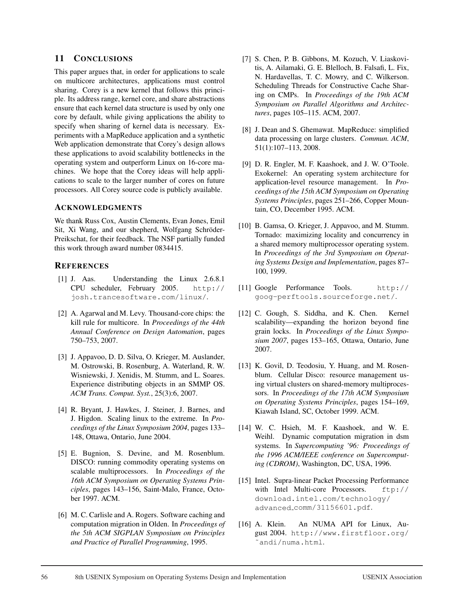## 11 CONCLUSIONS

This paper argues that, in order for applications to scale on multicore architectures, applications must control sharing. Corey is a new kernel that follows this principle. Its address range, kernel core, and share abstractions ensure that each kernel data structure is used by only one core by default, while giving applications the ability to specify when sharing of kernel data is necessary. Experiments with a MapReduce application and a synthetic Web application demonstrate that Corey's design allows these applications to avoid scalability bottlenecks in the operating system and outperform Linux on 16-core machines. We hope that the Corey ideas will help applications to scale to the larger number of cores on future processors. All Corey source code is publicly available.

#### ACKNOWLEDGMENTS

We thank Russ Cox, Austin Clements, Evan Jones, Emil Sit, Xi Wang, and our shepherd, Wolfgang Schröder-Preikschat, for their feedback. The NSF partially funded this work through award number 0834415.

## **REFERENCES**

- [1] J. Aas. Understanding the Linux 2.6.8.1 CPU scheduler, February 2005. http:// josh.trancesoftware.com/linux/.
- [2] A. Agarwal and M. Levy. Thousand-core chips: the kill rule for multicore. In *Proceedings of the 44th Annual Conference on Design Automation*, pages 750–753, 2007.
- [3] J. Appavoo, D. D. Silva, O. Krieger, M. Auslander, M. Ostrowski, B. Rosenburg, A. Waterland, R. W. Wisniewski, J. Xenidis, M. Stumm, and L. Soares. Experience distributing objects in an SMMP OS. *ACM Trans. Comput. Syst.*, 25(3):6, 2007.
- [4] R. Bryant, J. Hawkes, J. Steiner, J. Barnes, and J. Higdon. Scaling linux to the extreme. In *Proceedings of the Linux Symposium 2004*, pages 133– 148, Ottawa, Ontario, June 2004.
- [5] E. Bugnion, S. Devine, and M. Rosenblum. DISCO: running commodity operating systems on scalable multiprocessors. In *Proceedings of the 16th ACM Symposium on Operating Systems Principles*, pages 143–156, Saint-Malo, France, October 1997. ACM.
- [6] M. C. Carlisle and A. Rogers. Software caching and computation migration in Olden. In *Proceedings of the 5th ACM SIGPLAN Symposium on Principles and Practice of Parallel Programming*, 1995.
- [7] S. Chen, P. B. Gibbons, M. Kozuch, V. Liaskovitis, A. Ailamaki, G. E. Blelloch, B. Falsafi, L. Fix, N. Hardavellas, T. C. Mowry, and C. Wilkerson. Scheduling Threads for Constructive Cache Sharing on CMPs. In *Proceedings of the 19th ACM Symposium on Parallel Algorithms and Architectures*, pages 105–115. ACM, 2007.
- [8] J. Dean and S. Ghemawat. MapReduce: simplified data processing on large clusters. *Commun. ACM*, 51(1):107–113, 2008.
- [9] D. R. Engler, M. F. Kaashoek, and J. W. O'Toole. Exokernel: An operating system architecture for application-level resource management. In *Proceedings of the 15th ACM Symposium on Operating Systems Principles*, pages 251–266, Copper Mountain, CO, December 1995. ACM.
- [10] B. Gamsa, O. Krieger, J. Appavoo, and M. Stumm. Tornado: maximizing locality and concurrency in a shared memory multiprocessor operating system. In *Proceedings of the 3rd Symposium on Operating Systems Design and Implementation*, pages 87– 100, 1999.
- [11] Google Performance Tools. http:// goog-perftools.sourceforge.net/.
- [12] C. Gough, S. Siddha, and K. Chen. Kernel scalability—expanding the horizon beyond fine grain locks. In *Proceedings of the Linux Symposium 2007*, pages 153–165, Ottawa, Ontario, June 2007.
- [13] K. Govil, D. Teodosiu, Y. Huang, and M. Rosenblum. Cellular Disco: resource management using virtual clusters on shared-memory multiprocessors. In *Proceedings of the 17th ACM Symposium on Operating Systems Principles*, pages 154–169, Kiawah Island, SC, October 1999. ACM.
- [14] W. C. Hsieh, M. F. Kaashoek, and W. E. Weihl. Dynamic computation migration in dsm systems. In *Supercomputing '96: Proceedings of the 1996 ACM/IEEE conference on Supercomputing (CDROM)*, Washington, DC, USA, 1996.
- [15] Intel. Supra-linear Packet Processing Performance with Intel Multi-core Processors. ftp:// download.intel.com/technology/ advanced comm/31156601.pdf.
- [16] A. Klein. An NUMA API for Linux, August 2004. http://www.firstfloor.org/ ˜andi/numa.html.